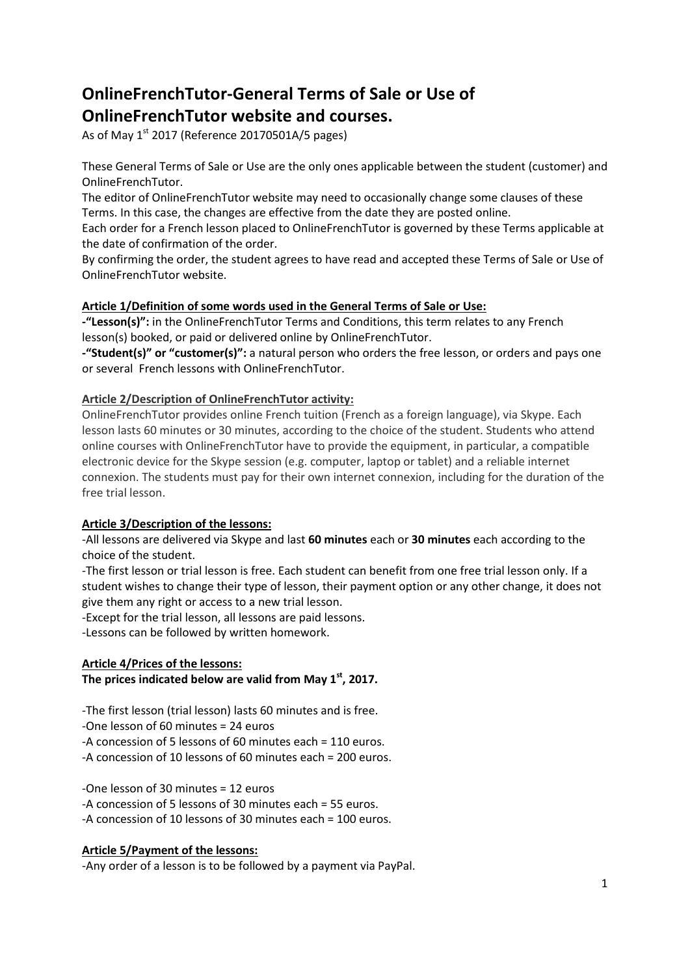# **OnlineFrenchTutor-General Terms of Sale or Use of OnlineFrenchTutor website and courses.**

As of May  $1<sup>st</sup>$  2017 (Reference 20170501A/5 pages)

These General Terms of Sale or Use are the only ones applicable between the student (customer) and OnlineFrenchTutor.

The editor of OnlineFrenchTutor website may need to occasionally change some clauses of these Terms. In this case, the changes are effective from the date they are posted online.

Each order for a French lesson placed to OnlineFrenchTutor is governed by these Terms applicable at the date of confirmation of the order.

By confirming the order, the student agrees to have read and accepted these Terms of Sale or Use of OnlineFrenchTutor website.

# **Article 1/Definition of some words used in the General Terms of Sale or Use:**

**-"Lesson(s)":** in the OnlineFrenchTutor Terms and Conditions, this term relates to any French lesson(s) booked, or paid or delivered online by OnlineFrenchTutor.

**-"Student(s)" or "customer(s)":** a natural person who orders the free lesson, or orders and pays one or several French lessons with OnlineFrenchTutor.

# **Article 2/Description of OnlineFrenchTutor activity:**

OnlineFrenchTutor provides online French tuition (French as a foreign language), via Skype. Each lesson lasts 60 minutes or 30 minutes, according to the choice of the student. Students who attend online courses with OnlineFrenchTutor have to provide the equipment, in particular, a compatible electronic device for the Skype session (e.g. computer, laptop or tablet) and a reliable internet connexion. The students must pay for their own internet connexion, including for the duration of the free trial lesson.

# **Article 3/Description of the lessons:**

-All lessons are delivered via Skype and last **60 minutes** each or **30 minutes** each according to the choice of the student.

-The first lesson or trial lesson is free. Each student can benefit from one free trial lesson only. If a student wishes to change their type of lesson, their payment option or any other change, it does not give them any right or access to a new trial lesson.

-Except for the trial lesson, all lessons are paid lessons.

-Lessons can be followed by written homework.

# **Article 4/Prices of the lessons:**

**The prices indicated below are valid from May 1st, 2017.**

-The first lesson (trial lesson) lasts 60 minutes and is free.

-One lesson of 60 minutes = 24 euros

-A concession of 5 lessons of 60 minutes each = 110 euros.

-A concession of 10 lessons of 60 minutes each = 200 euros.

-One lesson of 30 minutes = 12 euros

-A concession of 5 lessons of 30 minutes each = 55 euros.

-A concession of 10 lessons of 30 minutes each = 100 euros.

# **Article 5/Payment of the lessons:**

-Any order of a lesson is to be followed by a payment via PayPal.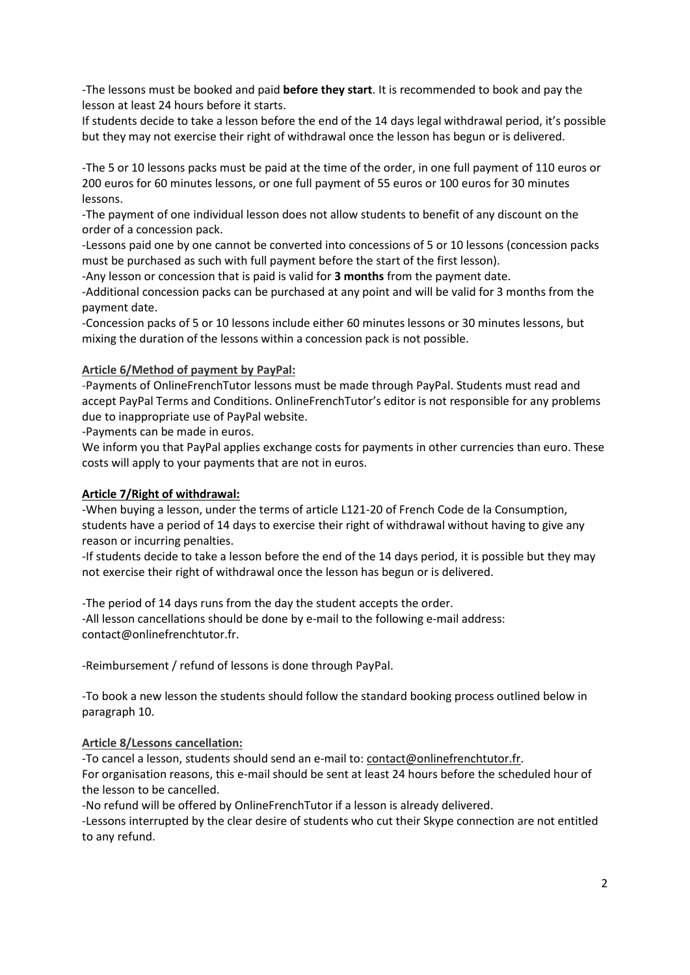-The lessons must be booked and paid **before they start**. It is recommended to book and pay the lesson at least 24 hours before it starts.

If students decide to take a lesson before the end of the 14 days legal withdrawal period, it's possible but they may not exercise their right of withdrawal once the lesson has begun or is delivered.

-The 5 or 10 lessons packs must be paid at the time of the order, in one full payment of 110 euros or 200 euros for 60 minutes lessons, or one full payment of 55 euros or 100 euros for 30 minutes lessons.

-The payment of one individual lesson does not allow students to benefit of any discount on the order of a concession pack.

-Lessons paid one by one cannot be converted into concessions of 5 or 10 lessons (concession packs must be purchased as such with full payment before the start of the first lesson).

-Any lesson or concession that is paid is valid for **3 months** from the payment date.

-Additional concession packs can be purchased at any point and will be valid for 3 months from the payment date.

-Concession packs of 5 or 10 lessons include either 60 minutes lessons or 30 minutes lessons, but mixing the duration of the lessons within a concession pack is not possible.

#### **Article 6/Method of payment by PayPal:**

-Payments of OnlineFrenchTutor lessons must be made through PayPal. Students must read and accept PayPal Terms and Conditions. OnlineFrenchTutor's editor is not responsible for any problems due to inappropriate use of PayPal website.

-Payments can be made in euros.

We inform you that PayPal applies exchange costs for payments in other currencies than euro. These costs will apply to your payments that are not in euros.

#### **Article 7/Right of withdrawal:**

-When buying a lesson, under the terms of article L121-20 of French Code de la Consumption, students have a period of 14 days to exercise their right of withdrawal without having to give any reason or incurring penalties.

-If students decide to take a lesson before the end of the 14 days period, it is possible but they may not exercise their right of withdrawal once the lesson has begun or is delivered.

-The period of 14 days runs from the day the student accepts the order. -All lesson cancellations should be done by e-mail to the following e-mail address: contact@onlinefrenchtutor.fr.

-Reimbursement / refund of lessons is done through PayPal.

-To book a new lesson the students should follow the standard booking process outlined below in paragraph 10.

# **Article 8/Lessons cancellation:**

-To cancel a lesson, students should send an e-mail to: [contact@onlinefrenchtutor.fr.](mailto:contact@onlinefrenchtutor.fr)

For organisation reasons, this e-mail should be sent at least 24 hours before the scheduled hour of the lesson to be cancelled.

-No refund will be offered by OnlineFrenchTutor if a lesson is already delivered.

-Lessons interrupted by the clear desire of students who cut their Skype connection are not entitled to any refund.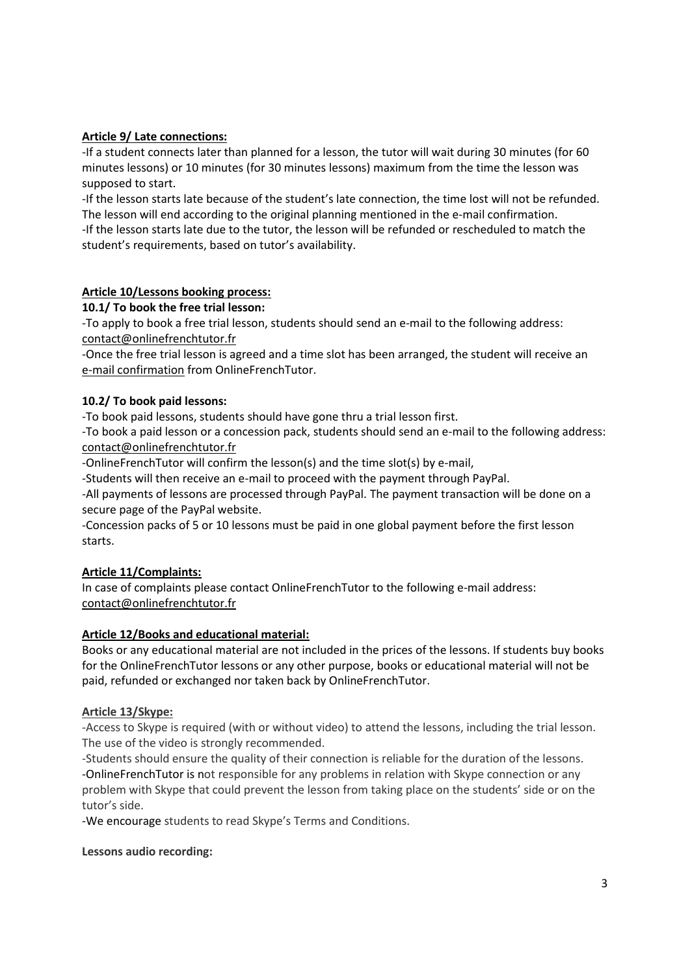# **Article 9/ Late connections:**

-If a student connects later than planned for a lesson, the tutor will wait during 30 minutes (for 60 minutes lessons) or 10 minutes (for 30 minutes lessons) maximum from the time the lesson was supposed to start.

-If the lesson starts late because of the student's late connection, the time lost will not be refunded. The lesson will end according to the original planning mentioned in the e-mail confirmation. -If the lesson starts late due to the tutor, the lesson will be refunded or rescheduled to match the student's requirements, based on tutor's availability.

# **Article 10/Lessons booking process:**

#### **10.1/ To book the free trial lesson:**

-To apply to book a free trial lesson, students should send an e-mail to the following address: [contact@onlinefrenchtutor.fr](mailto:contact@onlinefrenchtutor.fr)

-Once the free trial lesson is agreed and a time slot has been arranged, the student will receive an e-mail confirmation from OnlineFrenchTutor.

#### **10.2/ To book paid lessons:**

-To book paid lessons, students should have gone thru a trial lesson first.

-To book a paid lesson or a concession pack, students should send an e-mail to the following address: [contact@onlinefrenchtutor.fr](mailto:contact@onlinefrenchtutor.fr)

-OnlineFrenchTutor will confirm the lesson(s) and the time slot(s) by e-mail,

-Students will then receive an e-mail to proceed with the payment through PayPal.

-All payments of lessons are processed through PayPal. The payment transaction will be done on a secure page of the PayPal website.

-Concession packs of 5 or 10 lessons must be paid in one global payment before the first lesson starts.

# **Article 11/Complaints:**

In case of complaints please contact OnlineFrenchTutor to the following e-mail address: [contact@onlinefrenchtutor.fr](mailto:contact@onlinefrenchtutor.fr)

# **Article 12/Books and educational material:**

Books or any educational material are not included in the prices of the lessons. If students buy books for the OnlineFrenchTutor lessons or any other purpose, books or educational material will not be paid, refunded or exchanged nor taken back by OnlineFrenchTutor.

#### **Article 13/Skype:**

-Access to Skype is required (with or without video) to attend the lessons, including the trial lesson. The use of the video is strongly recommended.

-Students should ensure the quality of their connection is reliable for the duration of the lessons. -OnlineFrenchTutor is not responsible for any problems in relation with Skype connection or any problem with Skype that could prevent the lesson from taking place on the students' side or on the tutor's side.

-We encourage students to read Skype's Terms and Conditions.

#### **Lessons audio recording:**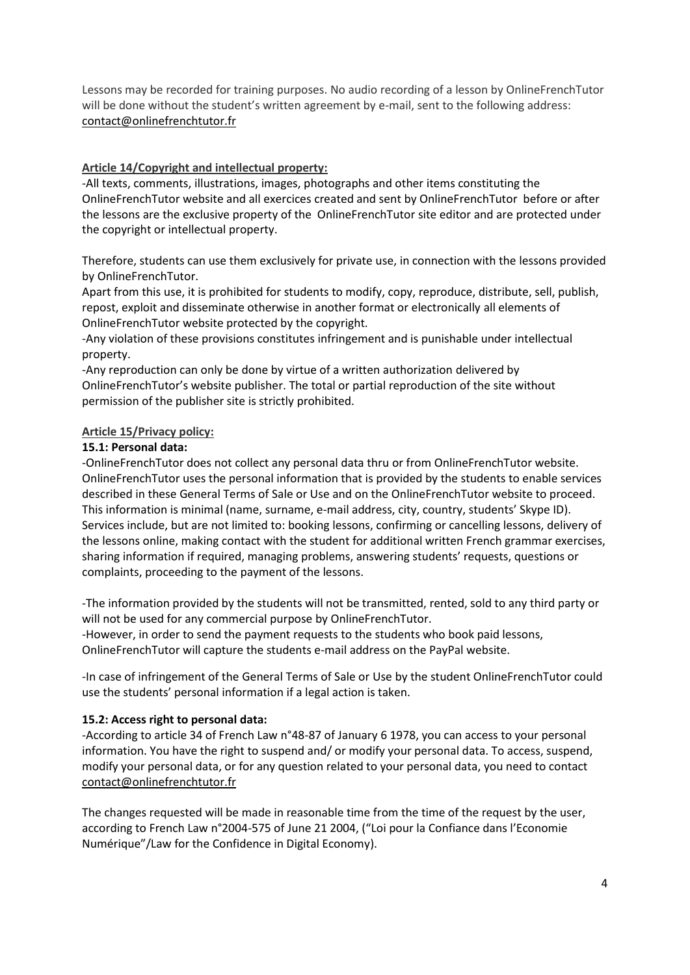Lessons may be recorded for training purposes. No audio recording of a lesson by OnlineFrenchTutor will be done without the student's written agreement by e-mail, sent to the following address: [contact@onlinefrenchtutor.fr](mailto:contact@onlinefrenchtutor.fr)

#### **Article 14/Copyright and intellectual property:**

-All texts, comments, illustrations, images, photographs and other items constituting the OnlineFrenchTutor website and all exercices created and sent by OnlineFrenchTutor before or after the lessons are the exclusive property of the OnlineFrenchTutor site editor and are protected under the copyright or intellectual property.

Therefore, students can use them exclusively for private use, in connection with the lessons provided by OnlineFrenchTutor.

Apart from this use, it is prohibited for students to modify, copy, reproduce, distribute, sell, publish, repost, exploit and disseminate otherwise in another format or electronically all elements of OnlineFrenchTutor website protected by the copyright.

-Any violation of these provisions constitutes infringement and is punishable under intellectual property.

-Any reproduction can only be done by virtue of a written authorization delivered by OnlineFrenchTutor's website publisher. The total or partial reproduction of the site without permission of the publisher site is strictly prohibited.

#### **Article 15/Privacy policy:**

# **15.1: Personal data:**

-OnlineFrenchTutor does not collect any personal data thru or from OnlineFrenchTutor website. OnlineFrenchTutor uses the personal information that is provided by the students to enable services described in these General Terms of Sale or Use and on the OnlineFrenchTutor website to proceed. This information is minimal (name, surname, e-mail address, city, country, students' Skype ID). Services include, but are not limited to: booking lessons, confirming or cancelling lessons, delivery of the lessons online, making contact with the student for additional written French grammar exercises, sharing information if required, managing problems, answering students' requests, questions or complaints, proceeding to the payment of the lessons.

-The information provided by the students will not be transmitted, rented, sold to any third party or will not be used for any commercial purpose by OnlineFrenchTutor.

-However, in order to send the payment requests to the students who book paid lessons, OnlineFrenchTutor will capture the students e-mail address on the PayPal website.

-In case of infringement of the General Terms of Sale or Use by the student OnlineFrenchTutor could use the students' personal information if a legal action is taken.

#### **15.2: Access right to personal data:**

-According to article 34 of French Law n°48-87 of January 6 1978, you can access to your personal information. You have the right to suspend and/ or modify your personal data. To access, suspend, modify your personal data, or for any question related to your personal data, you need to contact [contact@onlinefrenchtutor.fr](mailto:contact@onlinefrenchtutor.fr)

The changes requested will be made in reasonable time from the time of the request by the user, according to French Law n°2004-575 of June 21 2004, ("Loi pour la Confiance dans l'Economie Numérique"/Law for the Confidence in Digital Economy).